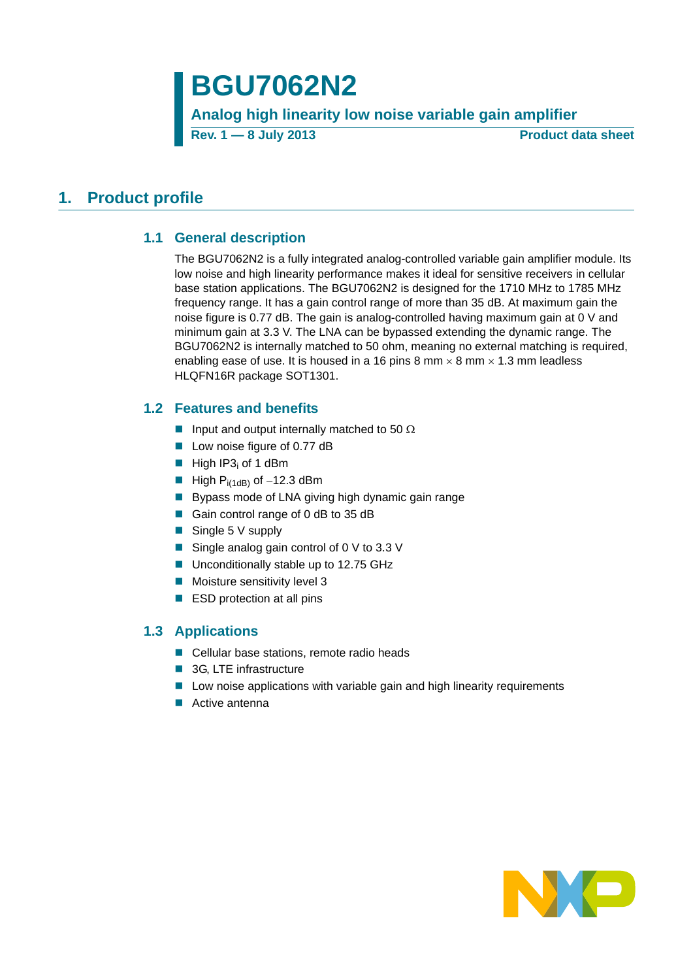# **BGU7062N2**

**Analog high linearity low noise variable gain amplifier**

**Rev. 1 — 8 July 2013 Product data sheet**

## <span id="page-0-1"></span><span id="page-0-0"></span>**1. Product profile**

### **1.1 General description**

The BGU7062N2 is a fully integrated analog-controlled variable gain amplifier module. Its low noise and high linearity performance makes it ideal for sensitive receivers in cellular base station applications. The BGU7062N2 is designed for the 1710 MHz to 1785 MHz frequency range. It has a gain control range of more than 35 dB. At maximum gain the noise figure is 0.77 dB. The gain is analog-controlled having maximum gain at 0 V and minimum gain at 3.3 V. The LNA can be bypassed extending the dynamic range. The BGU7062N2 is internally matched to 50 ohm, meaning no external matching is required, enabling ease of use. It is housed in a 16 pins 8 mm  $\times$  8 mm  $\times$  1.3 mm leadless HLQFN16R package SOT1301.

### <span id="page-0-2"></span>**1.2 Features and benefits**

- Input and output internally matched to 50  $\Omega$
- Low noise figure of 0.77 dB
- $\blacksquare$  High IP3<sub>i</sub> of 1 dBm
- **High P**<sub>i(1dB)</sub> of  $-12.3$  dBm
- Bypass mode of LNA giving high dynamic gain range
- Gain control range of 0 dB to 35 dB
- Single 5 V supply
- Single analog gain control of 0 V to 3.3 V
- **Unconditionally stable up to 12.75 GHz**
- Moisture sensitivity level 3
- **ESD** protection at all pins

### <span id="page-0-3"></span>**1.3 Applications**

- Cellular base stations, remote radio heads
- 3G, LTE infrastructure
- Low noise applications with variable gain and high linearity requirements
- Active antenna

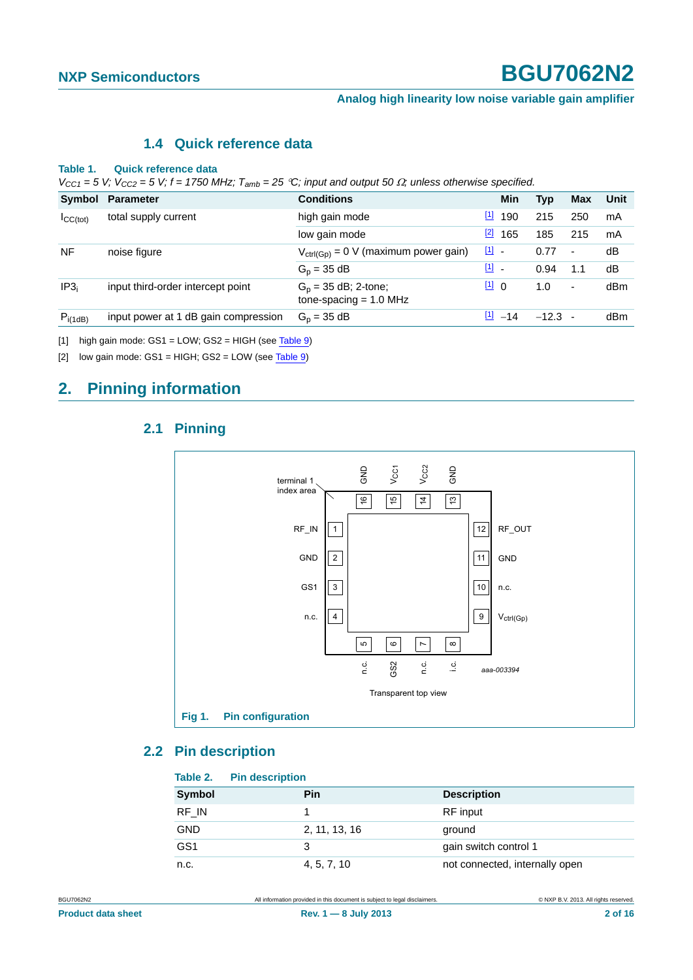**Analog high linearity low noise variable gain amplifier**

### **1.4 Quick reference data**

#### <span id="page-1-2"></span>**Table 1. Quick reference data**

 $V_{CC1} = 5$  V;  $V_{CC2} = 5$  V;  $f = 1750$  MHz;  $T_{amb} = 25$  °C; input and output 50  $\Omega$ ; unless otherwise specified.

| Symbol           | <b>Parameter</b>                     | <b>Conditions</b>                                  | Min                     | <b>Typ</b> | <b>Max</b>               | Unit |
|------------------|--------------------------------------|----------------------------------------------------|-------------------------|------------|--------------------------|------|
| ICC(tot)         | total supply current                 | high gain mode                                     | $[1]$<br>190            | 215        | 250                      | mA   |
|                  |                                      | low gain mode                                      | $\boxed{2}$<br>165      | 185        | 215                      | mA   |
| <b>NF</b>        | noise figure                         | $V_{\text{ctrl}(Gp)} = 0$ V (maximum power gain)   | 凹 -                     | 0.77       | $\overline{\phantom{a}}$ | dB   |
|                  |                                      | $G_n = 35 dB$                                      | $\boxed{1}$ $\boxed{1}$ | 0.94       | 1.1                      | dB   |
| IP3 <sub>i</sub> | input third-order intercept point    | $G_p = 35$ dB; 2-tone;<br>tone-spacing $= 1.0$ MHz | $\boxed{11}$ 0          | 1.0        | ٠                        | dBm  |
| $P_{i(1dB)}$     | input power at 1 dB gain compression | $G_p = 35 dB$                                      | $\frac{11}{2}$ -14      | $-12.3$    |                          | dBm  |
|                  |                                      |                                                    |                         |            |                          |      |

<span id="page-1-0"></span>[1] high gain mode: GS1 = LOW; GS2 = HIGH (see [Table 9\)](#page-5-0)

<span id="page-1-1"></span>[2] low gain mode:  $GS1 = HIGH$ ;  $GS2 = LOW$  (see [Table 9\)](#page-5-0)

# <span id="page-1-4"></span><span id="page-1-3"></span>**2. Pinning information**



### **2.1 Pinning**

### <span id="page-1-5"></span>**2.2 Pin description**

| Table 2.   | <b>Pin description</b> |                                |
|------------|------------------------|--------------------------------|
| Symbol     | Pin                    | <b>Description</b>             |
| RF IN      |                        | RF input                       |
| <b>GND</b> | 2, 11, 13, 16          | ground                         |
| GS1        | 3                      | gain switch control 1          |
| n.c.       | 4, 5, 7, 10            | not connected, internally open |

**Product data sheet Rev. 1 — 8 July 2013 2 of 16**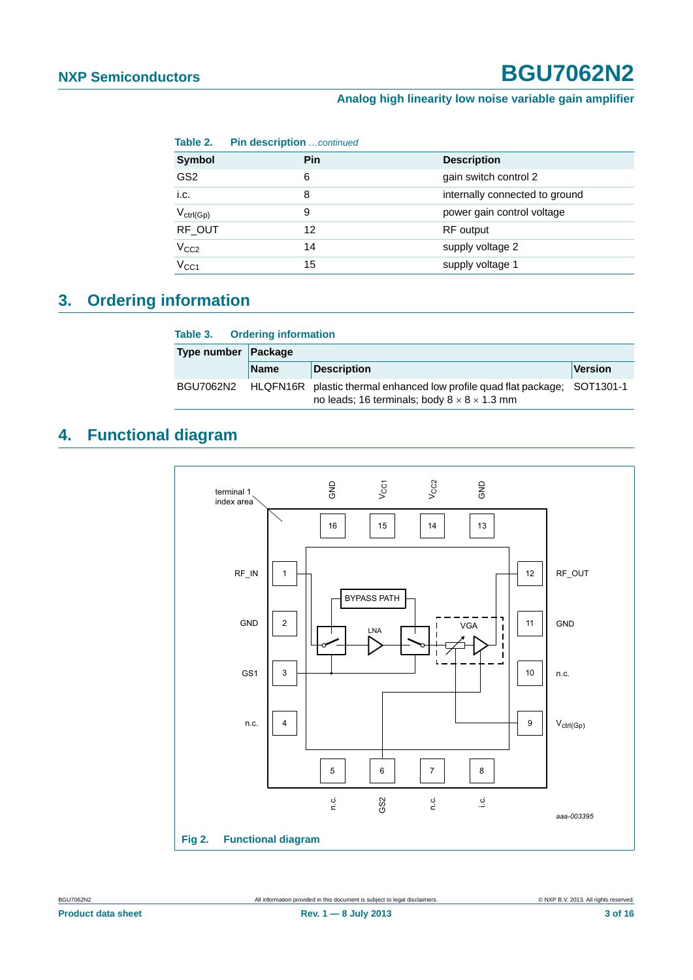### **Analog high linearity low noise variable gain amplifier**

| Table 2.         | Pin description continued |                                |
|------------------|---------------------------|--------------------------------|
| Symbol           | Pin                       | <b>Description</b>             |
| GS2              | 6                         | gain switch control 2          |
| i.c.             | 8                         | internally connected to ground |
| $V_{ctrl(Gp)}$   | 9                         | power gain control voltage     |
| RF_OUT           | 12                        | <b>RF</b> output               |
| V <sub>CC2</sub> | 14                        | supply voltage 2               |
| $V_{\rm CC1}$    | 15                        | supply voltage 1               |

## <span id="page-2-0"></span>**3. Ordering information**

| Table 3. Ordering information |             |                                                                                                                                       |         |  |  |  |
|-------------------------------|-------------|---------------------------------------------------------------------------------------------------------------------------------------|---------|--|--|--|
| Type number Package           |             |                                                                                                                                       |         |  |  |  |
|                               | <b>Name</b> | Description                                                                                                                           | Version |  |  |  |
| BGU7062N2                     |             | HLQFN16R plastic thermal enhanced low profile quad flat package: SOT1301-1<br>no leads; 16 terminals; body $8 \times 8 \times 1.3$ mm |         |  |  |  |

# <span id="page-2-1"></span>**4. Functional diagram**

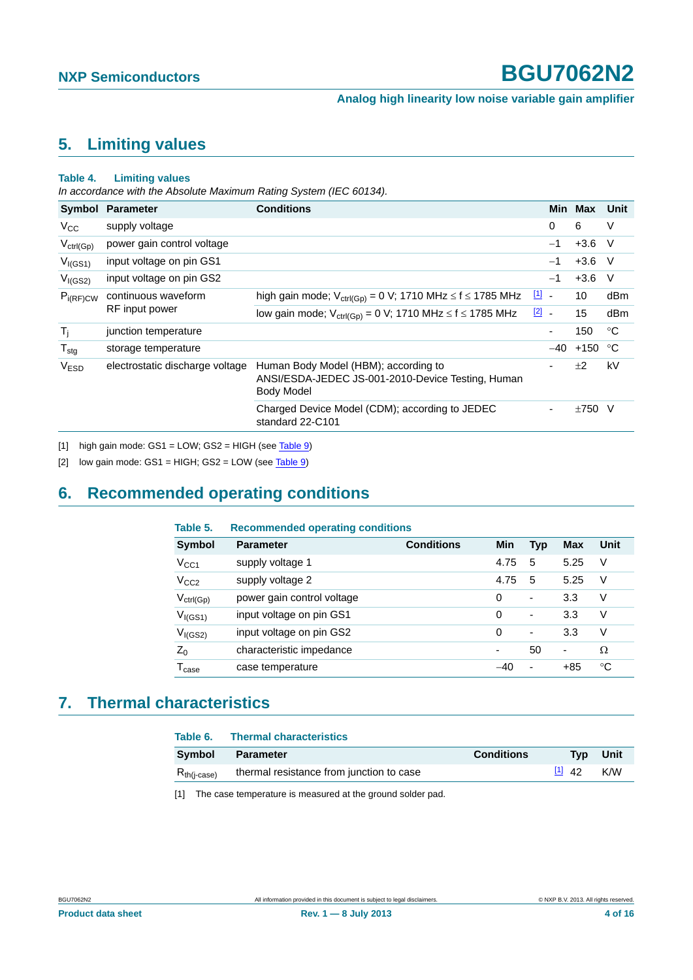**Analog high linearity low noise variable gain amplifier**

## <span id="page-3-3"></span>**5. Limiting values**

#### **Table 4. Limiting values**

*In accordance with the Absolute Maximum Rating System (IEC 60134).*

|                              | Symbol Parameter                | <b>Conditions</b>                                                                                              |               | Min Max          | Unit |
|------------------------------|---------------------------------|----------------------------------------------------------------------------------------------------------------|---------------|------------------|------|
| $V_{\rm CC}$                 | supply voltage                  |                                                                                                                | 0             | 6                | V    |
| $V_{\mathsf{ctrl}(Gp)}$      | power gain control voltage      |                                                                                                                | $-1$          | $+3.6$           | -V   |
| $V_{I(GS1)}$                 | input voltage on pin GS1        |                                                                                                                | $-1$          | $+3.6$ V         |      |
| $V_{I(GS2)}$                 | input voltage on pin GS2        |                                                                                                                | $-1$          | $+3.6$           | -V   |
| $P_{i(RF)CW}$                | continuous waveform             | high gain mode; $V_{ctrl(Gp)} = 0$ V; 1710 MHz $\leq f \leq$ 1785 MHz                                          | $\boxed{1}$ - | 10               | dBm  |
|                              | RF input power                  | low gain mode; $V_{ctrl(Gp)} = 0$ V; 1710 MHz $\leq f \leq$ 1785 MHz                                           | $\boxed{2}$ - | 15               | dBm  |
| $T_i$                        | junction temperature            |                                                                                                                | ۰             | 150              | ℃    |
| ${\mathsf T}_{\textsf{stg}}$ | storage temperature             |                                                                                                                | -40           | +150 $\degree$ C |      |
| <b>VESD</b>                  | electrostatic discharge voltage | Human Body Model (HBM); according to<br>ANSI/ESDA-JEDEC JS-001-2010-Device Testing, Human<br><b>Body Model</b> |               | ±2               | kV   |
|                              |                                 | Charged Device Model (CDM); according to JEDEC<br>standard 22-C101                                             |               | $±750$ V         |      |

<span id="page-3-0"></span>[1] high gain mode:  $GS1 = LOW$ ;  $GS2 = HIGH$  (see  $Table 9$ )

<span id="page-3-1"></span>[2] low gain mode:  $GS1 = HIGH$ ;  $GS2 = LOW$  (see [Table 9\)](#page-5-0)

## <span id="page-3-4"></span>**6. Recommended operating conditions**

| Table 5.                     | <b>Recommended operating conditions</b> |                   |       |            |                          |             |
|------------------------------|-----------------------------------------|-------------------|-------|------------|--------------------------|-------------|
| Symbol                       | <b>Parameter</b>                        | <b>Conditions</b> | Min   | <b>Typ</b> | <b>Max</b>               | <b>Unit</b> |
| V <sub>CC1</sub>             | supply voltage 1                        |                   | 4.75  | 5          | 5.25                     | V           |
| V <sub>CC2</sub>             | supply voltage 2                        |                   | 4.75  | 5          | 5.25                     | V           |
| $V_{ctrl(Gp)}$               | power gain control voltage              |                   | 0     | ٠          | 3.3                      | V           |
| V <sub>I(GS1)</sub>          | input voltage on pin GS1                |                   | 0     | ٠          | 3.3                      | V           |
| V <sub>I(GS2)</sub>          | input voltage on pin GS2                |                   | 0     | ٠          | 3.3                      | V           |
| $Z_0$                        | characteristic impedance                |                   | ٠     | 50         | $\overline{\phantom{0}}$ | Ω           |
| $\mathsf{T}_{\textsf{case}}$ | case temperature                        |                   | $-40$ | ٠          | +85                      | ℃           |

### <span id="page-3-5"></span>**7. Thermal characteristics**

| Table 6.         | <b>Thermal characteristics</b>           |                   |          |      |
|------------------|------------------------------------------|-------------------|----------|------|
| <b>Symbol</b>    | <b>Parameter</b>                         | <b>Conditions</b> | Tvp      | Unit |
| $R_{th(i-case)}$ | thermal resistance from junction to case |                   | $[1]$ 42 | K/W  |

<span id="page-3-2"></span>[1] The case temperature is measured at the ground solder pad.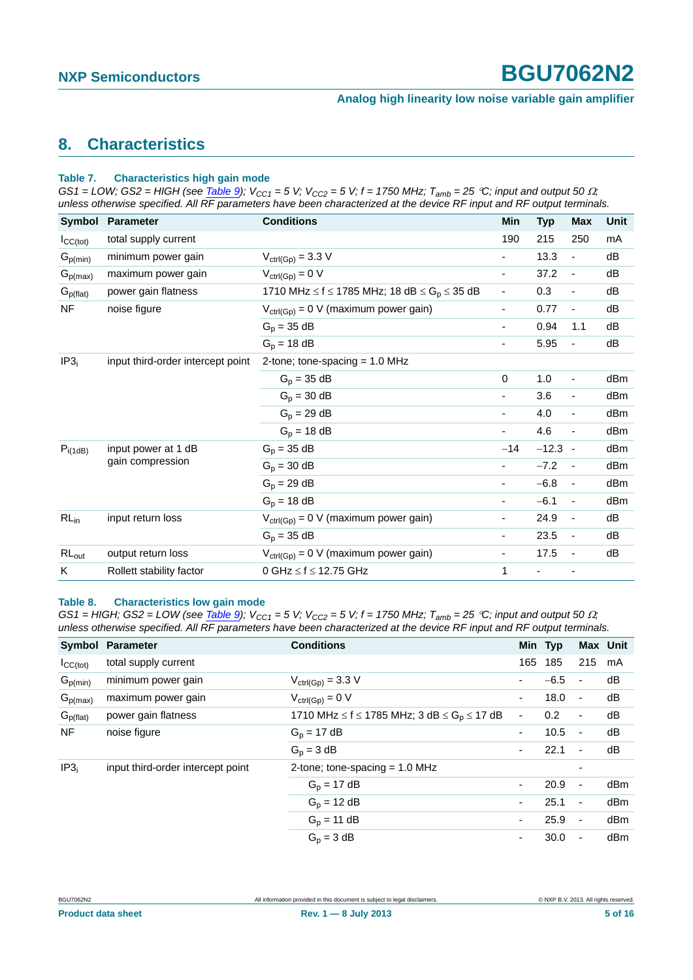#### **Analog high linearity low noise variable gain amplifier**

### <span id="page-4-0"></span>**8. Characteristics**

#### **Table 7. Characteristics high gain mode**

 $GS1 = LOW$ ;  $GS2 = HIGH$  (see  $\frac{Table 9}{7}$  $\frac{Table 9}{7}$  $\frac{Table 9}{7}$ ;  $V_{CC1} = 5$  V;  $V_{CC2} = 5$  V;  $f = 1750$  MHz;  $T_{amb} = 25$  °C; input and output 50  $\Omega$ ; *unless otherwise specified. All RF parameters have been characterized at the device RF input and RF output terminals.*

| Symbol           | <b>Parameter</b>                        | <b>Conditions</b>                                | Min                      | <b>Typ</b>               | <b>Max</b>                   | Unit |
|------------------|-----------------------------------------|--------------------------------------------------|--------------------------|--------------------------|------------------------------|------|
| $I_{CC(tot)}$    | total supply current                    |                                                  | 190                      | 215                      | 250                          | mA   |
| $G_{p(min)}$     | minimum power gain                      | $V_{ctrl(Gp)} = 3.3 V$                           | $\overline{\phantom{0}}$ | 13.3                     | $\overline{\phantom{0}}$     | dB   |
| $G_{p(max)}$     | maximum power gain                      | $V_{ctrl(Gp)} = 0 V$                             | -                        | 37.2                     | $\overline{\phantom{a}}$     | dB   |
| $G_{p(flat)}$    | power gain flatness                     | 1710 MHz ≤ f ≤ 1785 MHz; 18 dB ≤ $G_p$ ≤ 35 dB   | $\overline{\phantom{a}}$ | 0.3                      | $\overline{\phantom{a}}$     | dB   |
| NF               | noise figure                            | $V_{\text{ctrl(Gp)}} = 0$ V (maximum power gain) | $\blacksquare$           | 0.77                     | $\overline{\phantom{a}}$     | dB   |
|                  |                                         | $G_p = 35 dB$                                    | $\overline{\phantom{0}}$ | 0.94                     | 1.1                          | dB   |
|                  |                                         | $G_p = 18$ dB                                    | -                        | 5.95                     | $\overline{\phantom{a}}$     | dB   |
| IP3 <sub>i</sub> | input third-order intercept point       | 2-tone; tone-spacing $= 1.0$ MHz                 |                          |                          |                              |      |
|                  |                                         | $G_p = 35$ dB                                    | 0                        | 1.0                      | $\overline{\phantom{a}}$     | dBm  |
|                  |                                         | $G_p = 30$ dB                                    |                          | 3.6                      | $\overline{\phantom{a}}$     | dBm  |
|                  |                                         | $G_p = 29 dB$                                    | Ξ.                       | 4.0                      | $\overline{\phantom{a}}$     | dBm  |
|                  |                                         | $G_p = 18$ dB                                    |                          | 4.6                      | $\qquad \qquad \blacksquare$ | dBm  |
| $P_{i(1dB)}$     | input power at 1 dB<br>gain compression | $G_p = 35 dB$                                    | $-14$                    | $-12.3 -$                |                              | dBm  |
|                  |                                         | $G_p = 30$ dB                                    |                          | $-7.2$                   | $\overline{\phantom{a}}$     | dBm  |
|                  |                                         | $G_p = 29 dB$                                    | $\overline{\phantom{0}}$ | $-6.8$                   | $\overline{\phantom{a}}$     | dBm  |
|                  |                                         | $G_p = 18$ dB                                    | -                        | $-6.1$                   | $\overline{\phantom{a}}$     | dBm  |
| $RL_{in}$        | input return loss                       | $V_{\text{ctrl}(Gp)} = 0$ V (maximum power gain) | $\overline{\phantom{0}}$ | 24.9                     | $\overline{\phantom{a}}$     | dB   |
|                  |                                         | $G_p = 35$ dB                                    | $\overline{\phantom{a}}$ | 23.5                     | $\blacksquare$               | dB   |
| $RL_{out}$       | output return loss                      | $V_{\text{ctrl}(Gp)} = 0$ V (maximum power gain) | $\overline{\phantom{a}}$ | 17.5                     | $\overline{\phantom{a}}$     | dB   |
| Κ                | Rollett stability factor                | 0 GHz $\leq$ f $\leq$ 12.75 GHz                  | 1                        | $\overline{\phantom{a}}$ | $\qquad \qquad \blacksquare$ |      |

#### **Table 8. Characteristics low gain mode**

 $GS1 = HIGH$ ;  $GS2 = LOW$  (see  $\frac{Table 9}{7}$  $\frac{Table 9}{7}$  $\frac{Table 9}{7}$ ;  $V_{CC1} = 5$  V;  $V_{CC2} = 5$  V;  $f = 1750$  MHz;  $T_{amb} = 25$  °C; input and output 50  $\Omega$ ; *unless otherwise specified. All RF parameters have been characterized at the device RF input and RF output terminals.*

|                  | Symbol Parameter                  | <b>Conditions</b>                             |                          | Min Typ |                          | Max Unit |
|------------------|-----------------------------------|-----------------------------------------------|--------------------------|---------|--------------------------|----------|
| ICC(tot)         | total supply current              |                                               | 165                      | 185     | 215                      | mA       |
| $G_{p(min)}$     | minimum power gain                | $V_{ctrl(Gp)} = 3.3 V$                        |                          | $-6.5$  | $\blacksquare$           | dB       |
| $G_{p(max)}$     | maximum power gain                | $V_{ctrl(Gp)} = 0 V$                          | Ξ.                       | 18.0    | $\overline{\phantom{a}}$ | dB       |
| $G_{p(flat)}$    | power gain flatness               | 1710 MHz ≤ f ≤ 1785 MHz; 3 dB ≤ $G_p$ ≤ 17 dB | $\overline{\phantom{0}}$ | 0.2     | $\overline{\phantom{a}}$ | dB       |
| NF.              | noise figure                      | $G_p = 17 dB$                                 | Ξ.                       | 10.5    | $\overline{\phantom{a}}$ | dB       |
|                  |                                   | $G_n = 3 dB$                                  | ٠                        | 22.1    | $\overline{\phantom{a}}$ | dB       |
| IP3 <sub>i</sub> | input third-order intercept point | 2-tone; tone-spacing $= 1.0$ MHz              |                          |         | ۰                        |          |
|                  |                                   | $G_p = 17 dB$                                 | $\overline{\phantom{0}}$ | 20.9    | $\overline{\phantom{a}}$ | dBm      |
|                  |                                   | $G_p = 12 dB$                                 | Ξ.                       | 25.1    | $\blacksquare$           | dBm      |
|                  |                                   | $G_p = 11$ dB                                 | ۰.                       | 25.9    | $\blacksquare$           | dBm      |
|                  |                                   | $G_n = 3 dB$                                  | ۰.                       | 30.0    | $\blacksquare$           | dBm      |

**Product data sheet Rev. 1 — 8 July 2013 5 of 16**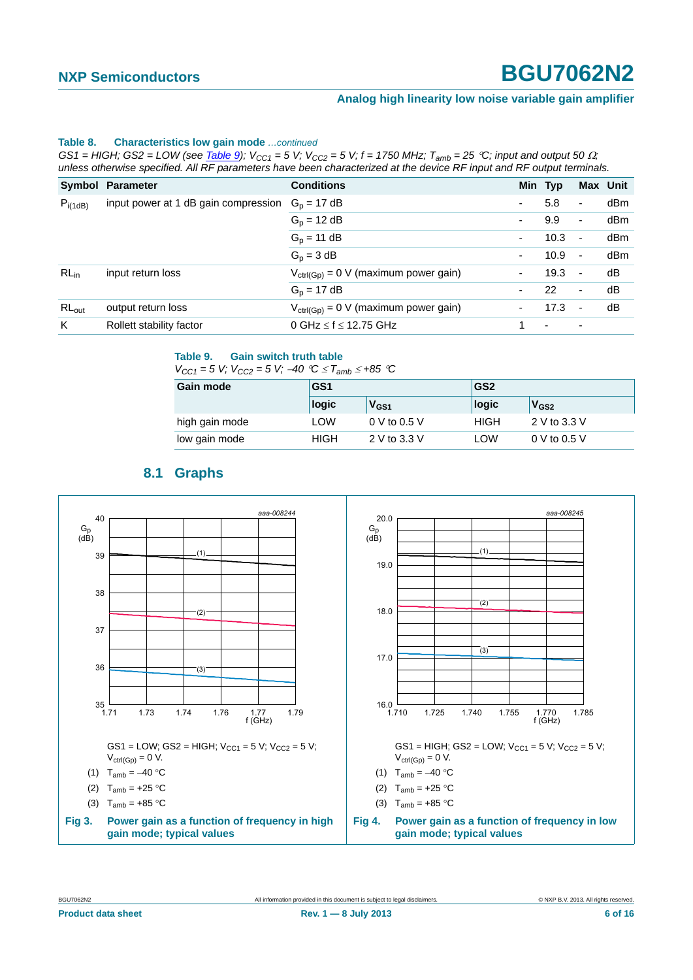#### **Analog high linearity low noise variable gain amplifier**

#### **Table 8. Characteristics low gain mode** *…continued*

 $GS1 = HIGH$ ;  $GS2 = LOW$  (see Table 9);  $V_{CC1} = 5$  V;  $V_{CC2} = 5$  V;  $f = 1750$  MHz;  $T_{amb} = 25$  °C; input and output 50  $\Omega$ ; *unless otherwise specified. All RF parameters have been characterized at the device RF input and RF output terminals.*

|              | <b>Symbol Parameter</b>              | <b>Conditions</b>                                |    | Min Typ |                          | Max Unit |
|--------------|--------------------------------------|--------------------------------------------------|----|---------|--------------------------|----------|
| $P_{i(1dB)}$ | input power at 1 dB gain compression | $G_p = 17 dB$                                    |    | 5.8     | $\blacksquare$           | dBm      |
|              |                                      | $G_p = 12$ dB                                    |    | 9.9     | $\sim$                   | dBm      |
|              |                                      | $G_p = 11$ dB                                    |    | 10.3    | $\overline{\phantom{a}}$ | dBm      |
|              |                                      | $G_p = 3 dB$                                     | ۰. | 10.9    | $\overline{\phantom{a}}$ | dBm      |
| $RL_{in}$    | input return loss                    | $V_{\text{ctrl}(Gp)} = 0$ V (maximum power gain) |    | 19.3    | $\overline{\phantom{a}}$ | dB       |
|              |                                      | $G_p = 17 dB$                                    |    | 22      | $\overline{\phantom{a}}$ | dB       |
| $RL_{out}$   | output return loss                   | $V_{\text{ctrl}(Gp)} = 0$ V (maximum power gain) |    | 17.3    | $\overline{\phantom{a}}$ | dB       |
| K            | Rollett stability factor             | 0 GHz $\leq$ f $\leq$ 12.75 GHz                  |    | ٠       | $\overline{\phantom{a}}$ |          |

#### <span id="page-5-0"></span>**Table 9. Gain switch truth table**

*V<sub>CC1</sub>* = 5 *V;*  $V_{CC2}$  = 5 *V;*  $-40$  <sup>o</sup>C  $\leq T_{amb} \leq +85$  <sup>o</sup>C

| Gain mode      | GS <sub>1</sub> |                   | GS <sub>2</sub> |                    |  |
|----------------|-----------------|-------------------|-----------------|--------------------|--|
|                | logic           | V <sub>GS1</sub>  | logic           | $V$ <sub>GS2</sub> |  |
| high gain mode | LOW             | $0 \vee$ to 0.5 V | <b>HIGH</b>     | 2 V to 3.3 V       |  |
| low gain mode  | <b>HIGH</b>     | 2 V to 3.3 V      | LOW             | 0 V to 0.5 V       |  |

### **8.1 Graphs**

<span id="page-5-1"></span>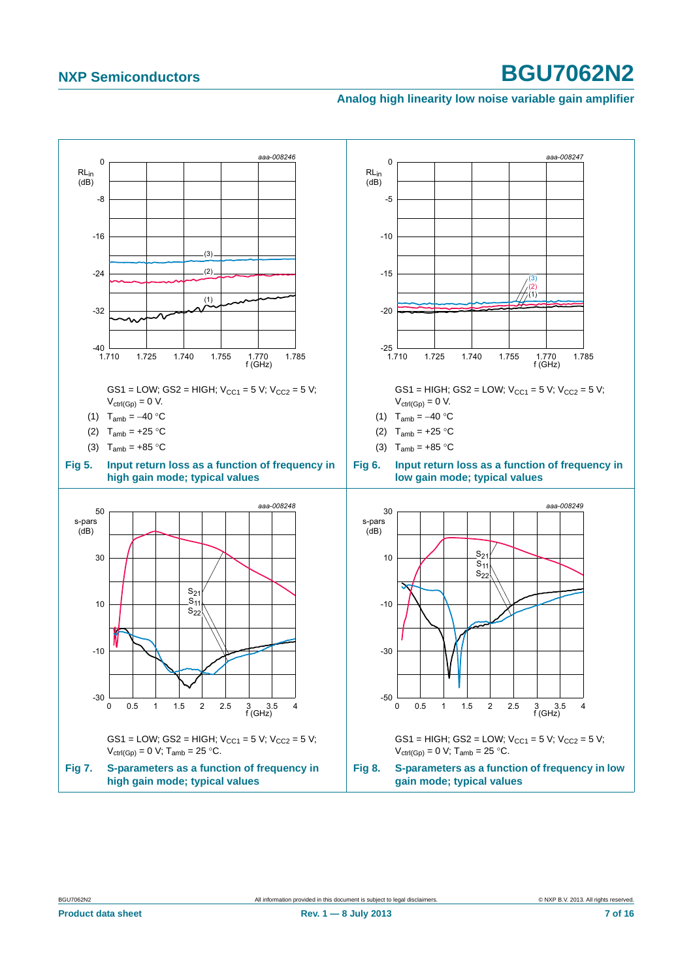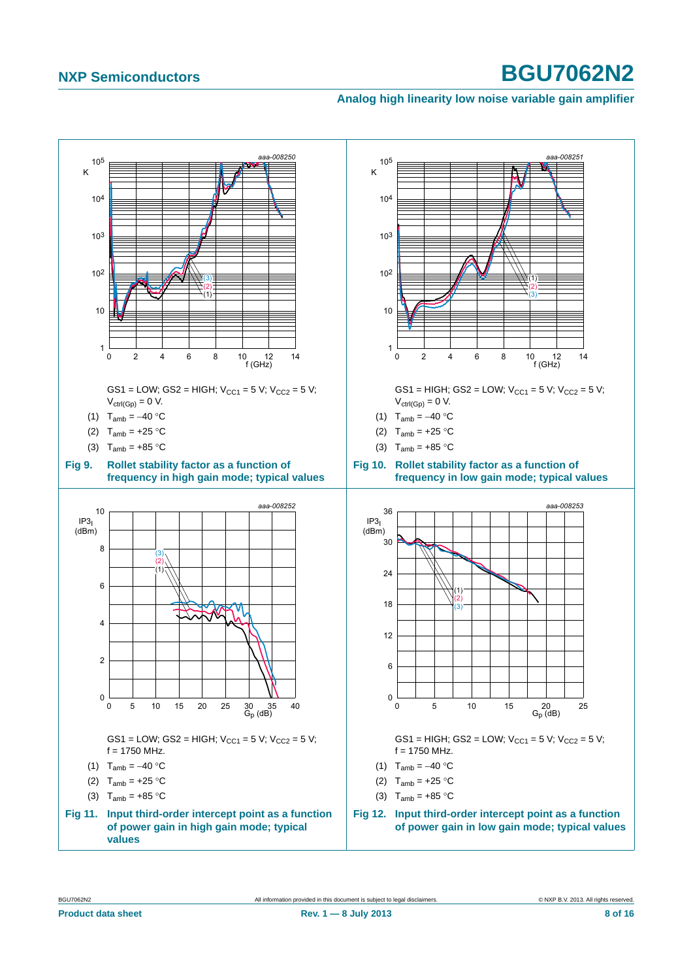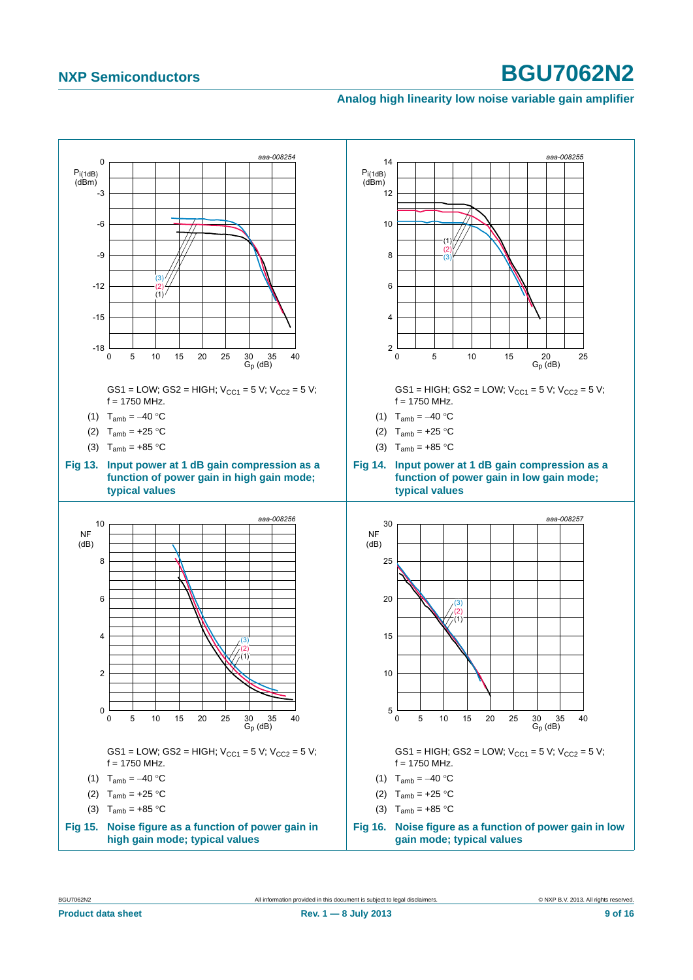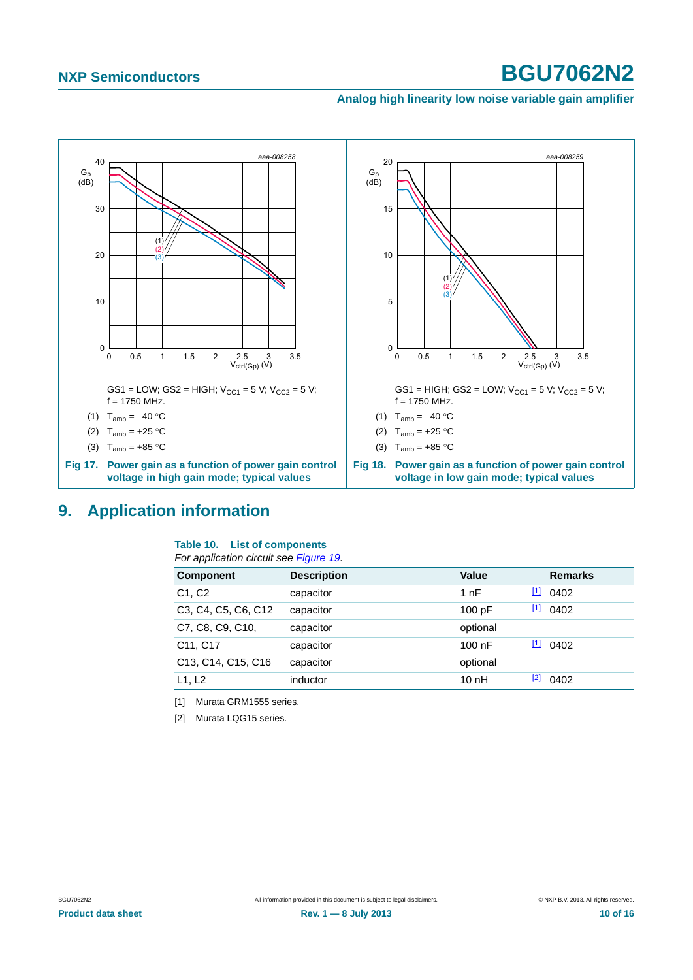#### **Analog high linearity low noise variable gain amplifier**



## <span id="page-9-3"></span>**9. Application information**

#### <span id="page-9-2"></span>**Table 10. List of components** *For application circuit see [Figure 19](#page-10-0).*

| <u>i or application circuit see rigure 19</u>                         |                    |          |                     |  |  |
|-----------------------------------------------------------------------|--------------------|----------|---------------------|--|--|
| <b>Component</b>                                                      | <b>Description</b> | Value    | <b>Remarks</b>      |  |  |
| C <sub>1</sub> , C <sub>2</sub>                                       | capacitor          | 1nF      | $[1]$<br>0402       |  |  |
| C3, C4, C5, C6, C12                                                   | capacitor          | 100pF    | $\boxed{1}$<br>0402 |  |  |
| C7, C8, C9, C10,                                                      | capacitor          | optional |                     |  |  |
| C <sub>11</sub> , C <sub>17</sub>                                     | capacitor          | $100$ nF | $[1]$<br>0402       |  |  |
| C <sub>13</sub> , C <sub>14</sub> , C <sub>15</sub> , C <sub>16</sub> | capacitor          | optional |                     |  |  |
| L1, L2                                                                | inductor           | 10nH     | $[2]$<br>0402       |  |  |
|                                                                       |                    |          |                     |  |  |

<span id="page-9-0"></span>[1] Murata GRM1555 series.

<span id="page-9-1"></span>[2] Murata LQG15 series.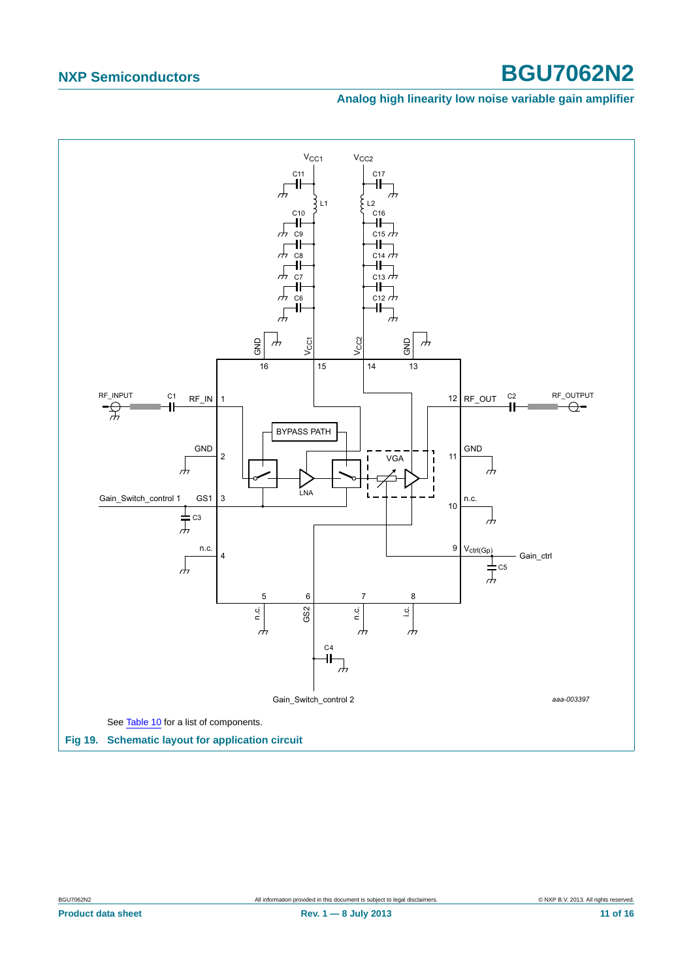<span id="page-10-0"></span>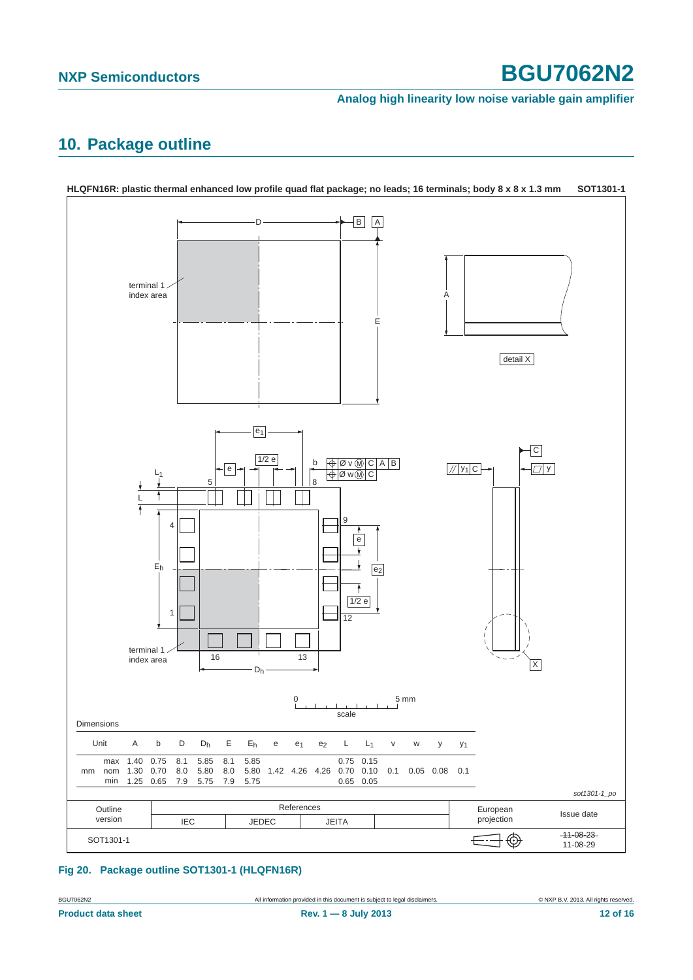**Analog high linearity low noise variable gain amplifier**

### <span id="page-11-0"></span>**10. Package outline**



#### **Fig 20. Package outline SOT1301-1 (HLQFN16R)**

BGU7062N2 All information provided in this document is subject to legal disclaimers. © NXP B.V. 2013. All rights reserved.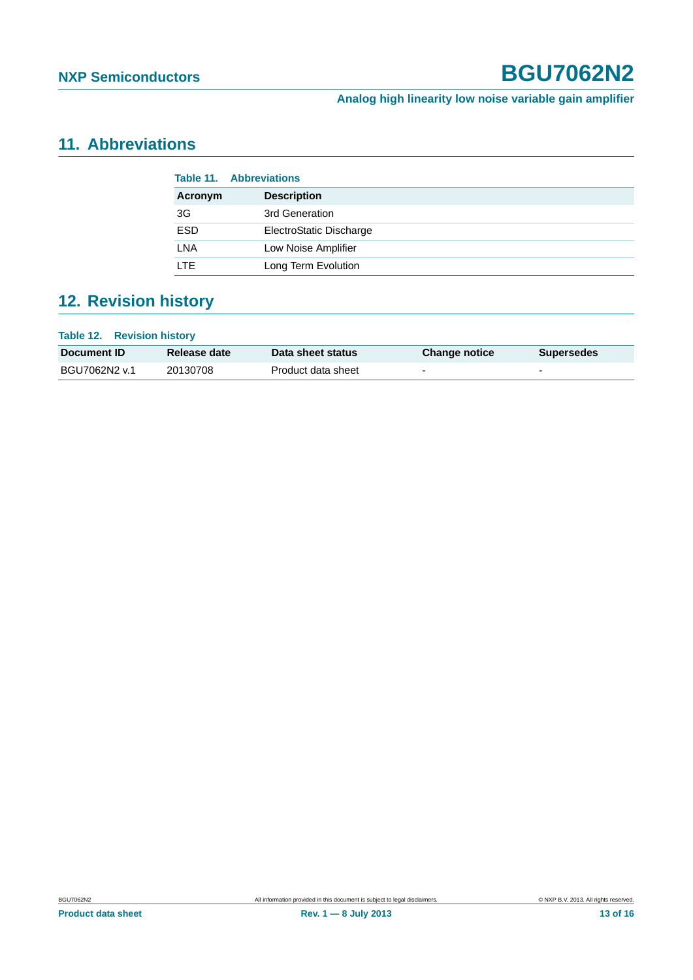**Analog high linearity low noise variable gain amplifier**

# <span id="page-12-0"></span>**11. Abbreviations**

| <b>Table 11. Abbreviations</b> |                         |  |  |
|--------------------------------|-------------------------|--|--|
| Acronym                        | <b>Description</b>      |  |  |
| 3G                             | 3rd Generation          |  |  |
| <b>ESD</b>                     | ElectroStatic Discharge |  |  |
| <b>LNA</b>                     | Low Noise Amplifier     |  |  |
| <b>LTE</b>                     | Long Term Evolution     |  |  |

# <span id="page-12-1"></span>**12. Revision history**

| Table 12. | <b>Revision history</b> |  |
|-----------|-------------------------|--|
|           |                         |  |

| Document ID   | Release date | Data sheet status  | <b>Change notice</b> | <b>Supersedes</b> |
|---------------|--------------|--------------------|----------------------|-------------------|
| BGU7062N2 v.1 | 20130708     | Product data sheet | -                    |                   |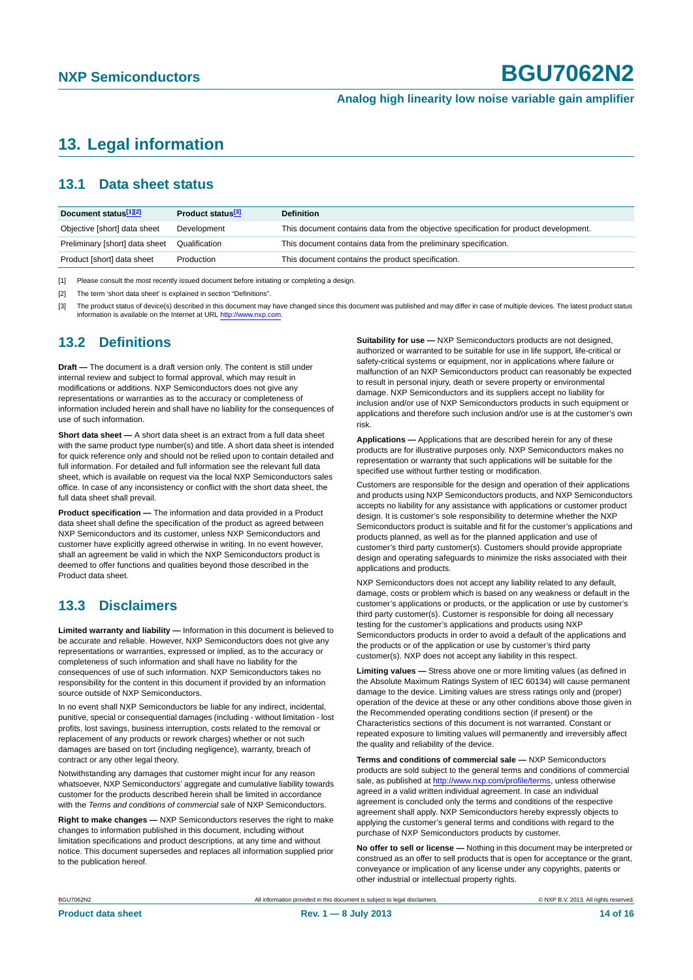### <span id="page-13-3"></span>**13. Legal information**

### <span id="page-13-4"></span>**13.1 Data sheet status**

| Document status[1][2]          | Product status <sup>[3]</sup> | <b>Definition</b>                                                                     |
|--------------------------------|-------------------------------|---------------------------------------------------------------------------------------|
| Objective [short] data sheet   | Development                   | This document contains data from the objective specification for product development. |
| Preliminary [short] data sheet | Qualification                 | This document contains data from the preliminary specification.                       |
| Product [short] data sheet     | Production                    | This document contains the product specification.                                     |

<span id="page-13-0"></span>[1] Please consult the most recently issued document before initiating or completing a design.

<span id="page-13-1"></span>[2] The term 'short data sheet' is explained in section "Definitions".

<span id="page-13-2"></span>[3] The product status of device(s) described in this document may have changed since this document was published and may differ in case of multiple devices. The latest product status<br>information is available on the Intern

### <span id="page-13-5"></span>**13.2 Definitions**

**Draft —** The document is a draft version only. The content is still under internal review and subject to formal approval, which may result in modifications or additions. NXP Semiconductors does not give any representations or warranties as to the accuracy or completeness of information included herein and shall have no liability for the consequences of use of such information.

**Short data sheet —** A short data sheet is an extract from a full data sheet with the same product type number(s) and title. A short data sheet is intended for quick reference only and should not be relied upon to contain detailed and full information. For detailed and full information see the relevant full data sheet, which is available on request via the local NXP Semiconductors sales office. In case of any inconsistency or conflict with the short data sheet, the full data sheet shall prevail.

**Product specification —** The information and data provided in a Product data sheet shall define the specification of the product as agreed between NXP Semiconductors and its customer, unless NXP Semiconductors and customer have explicitly agreed otherwise in writing. In no event however, shall an agreement be valid in which the NXP Semiconductors product is deemed to offer functions and qualities beyond those described in the Product data sheet.

### <span id="page-13-6"></span>**13.3 Disclaimers**

**Limited warranty and liability —** Information in this document is believed to be accurate and reliable. However, NXP Semiconductors does not give any representations or warranties, expressed or implied, as to the accuracy or completeness of such information and shall have no liability for the consequences of use of such information. NXP Semiconductors takes no responsibility for the content in this document if provided by an information source outside of NXP Semiconductors.

In no event shall NXP Semiconductors be liable for any indirect, incidental, punitive, special or consequential damages (including - without limitation - lost profits, lost savings, business interruption, costs related to the removal or replacement of any products or rework charges) whether or not such damages are based on tort (including negligence), warranty, breach of contract or any other legal theory.

Notwithstanding any damages that customer might incur for any reason whatsoever, NXP Semiconductors' aggregate and cumulative liability towards customer for the products described herein shall be limited in accordance with the *Terms and conditions of commercial sale* of NXP Semiconductors.

**Right to make changes —** NXP Semiconductors reserves the right to make changes to information published in this document, including without limitation specifications and product descriptions, at any time and without notice. This document supersedes and replaces all information supplied prior to the publication hereof.

**Suitability for use —** NXP Semiconductors products are not designed, authorized or warranted to be suitable for use in life support, life-critical or safety-critical systems or equipment, nor in applications where failure or malfunction of an NXP Semiconductors product can reasonably be expected to result in personal injury, death or severe property or environmental damage. NXP Semiconductors and its suppliers accept no liability for inclusion and/or use of NXP Semiconductors products in such equipment or applications and therefore such inclusion and/or use is at the customer's own risk.

**Applications —** Applications that are described herein for any of these products are for illustrative purposes only. NXP Semiconductors makes no representation or warranty that such applications will be suitable for the specified use without further testing or modification.

Customers are responsible for the design and operation of their applications and products using NXP Semiconductors products, and NXP Semiconductors accepts no liability for any assistance with applications or customer product design. It is customer's sole responsibility to determine whether the NXP Semiconductors product is suitable and fit for the customer's applications and products planned, as well as for the planned application and use of customer's third party customer(s). Customers should provide appropriate design and operating safeguards to minimize the risks associated with their applications and products.

NXP Semiconductors does not accept any liability related to any default. damage, costs or problem which is based on any weakness or default in the customer's applications or products, or the application or use by customer's third party customer(s). Customer is responsible for doing all necessary testing for the customer's applications and products using NXP Semiconductors products in order to avoid a default of the applications and the products or of the application or use by customer's third party customer(s). NXP does not accept any liability in this respect.

**Limiting values —** Stress above one or more limiting values (as defined in the Absolute Maximum Ratings System of IEC 60134) will cause permanent damage to the device. Limiting values are stress ratings only and (proper) operation of the device at these or any other conditions above those given in the Recommended operating conditions section (if present) or the Characteristics sections of this document is not warranted. Constant or repeated exposure to limiting values will permanently and irreversibly affect the quality and reliability of the device.

**Terms and conditions of commercial sale —** NXP Semiconductors products are sold subject to the general terms and conditions of commercial sale, as published at<http://www.nxp.com/profile/terms>, unless otherwise agreed in a valid written individual agreement. In case an individual agreement is concluded only the terms and conditions of the respective agreement shall apply. NXP Semiconductors hereby expressly objects to applying the customer's general terms and conditions with regard to the purchase of NXP Semiconductors products by customer.

**No offer to sell or license —** Nothing in this document may be interpreted or construed as an offer to sell products that is open for acceptance or the grant, conveyance or implication of any license under any copyrights, patents or other industrial or intellectual property rights.

BGU7062N2 All information provided in this document is subject to legal disclaimers. © NXP B.V. 2013. All rights reserved.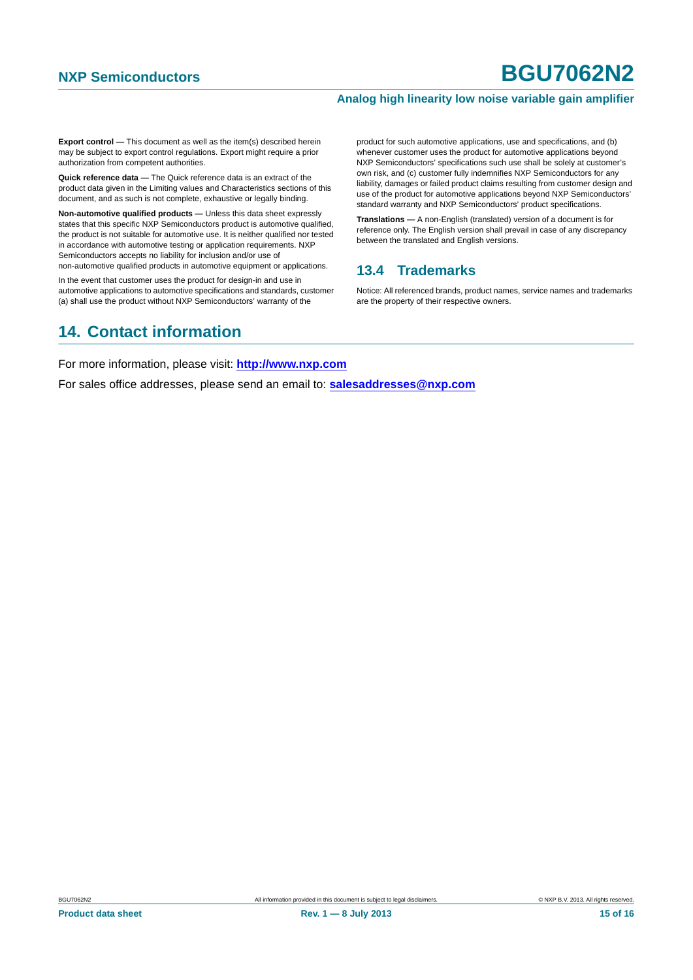#### **Analog high linearity low noise variable gain amplifier**

**Export control —** This document as well as the item(s) described herein may be subject to export control regulations. Export might require a prior authorization from competent authorities.

**Quick reference data —** The Quick reference data is an extract of the product data given in the Limiting values and Characteristics sections of this document, and as such is not complete, exhaustive or legally binding.

**Non-automotive qualified products —** Unless this data sheet expressly states that this specific NXP Semiconductors product is automotive qualified, the product is not suitable for automotive use. It is neither qualified nor tested in accordance with automotive testing or application requirements. NXP Semiconductors accepts no liability for inclusion and/or use of non-automotive qualified products in automotive equipment or applications.

In the event that customer uses the product for design-in and use in

automotive applications to automotive specifications and standards, customer (a) shall use the product without NXP Semiconductors' warranty of the

product for such automotive applications, use and specifications, and (b) whenever customer uses the product for automotive applications beyond NXP Semiconductors' specifications such use shall be solely at customer's own risk, and (c) customer fully indemnifies NXP Semiconductors for any liability, damages or failed product claims resulting from customer design and use of the product for automotive applications beyond NXP Semiconductors' standard warranty and NXP Semiconductors' product specifications.

**Translations —** A non-English (translated) version of a document is for reference only. The English version shall prevail in case of any discrepancy between the translated and English versions.

### <span id="page-14-0"></span>**13.4 Trademarks**

Notice: All referenced brands, product names, service names and trademarks are the property of their respective owners.

## <span id="page-14-1"></span>**14. Contact information**

For more information, please visit: **http://www.nxp.com**

For sales office addresses, please send an email to: **salesaddresses@nxp.com**